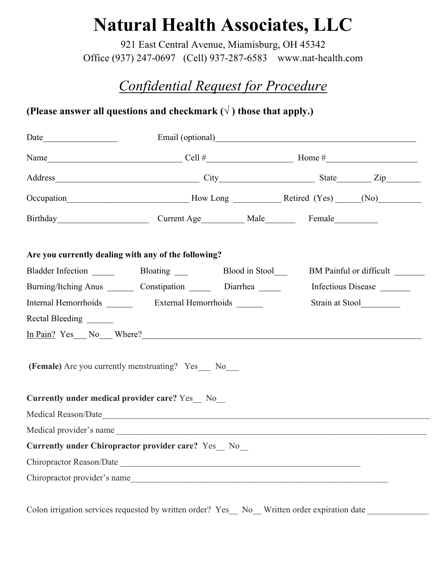# **Natural Health Associates, LLC**

921 East Central Avenue, Miamisburg, OH 45342 Office (937) 247-0697 (Cell) 937-287-6583 www.nat-health.com

## *Confidential Request for Procedure*

### **(Please answer all questions and checkmark**  $(\sqrt{})$  **those that apply.)**

|                                                                               |                                           |  | Email (optional)<br><u>Email</u> (optional)                                                       |                         |  |
|-------------------------------------------------------------------------------|-------------------------------------------|--|---------------------------------------------------------------------------------------------------|-------------------------|--|
|                                                                               |                                           |  | Name $\qquad \qquad \text{Cell } #$ $\qquad \qquad \text{Home } #$ $\qquad \qquad \text{Home } #$ |                         |  |
|                                                                               |                                           |  |                                                                                                   |                         |  |
|                                                                               |                                           |  |                                                                                                   |                         |  |
|                                                                               | Birthday Current Age Male Female          |  |                                                                                                   |                         |  |
| Are you currently dealing with any of the following?                          |                                           |  |                                                                                                   |                         |  |
|                                                                               | Bladder Infection Bloating Blood in Stool |  |                                                                                                   | BM Painful or difficult |  |
| Burning/Itching Anus Constipation Diarrhea                                    |                                           |  |                                                                                                   | Infectious Disease      |  |
|                                                                               |                                           |  |                                                                                                   |                         |  |
| Rectal Bleeding                                                               |                                           |  |                                                                                                   |                         |  |
| In Pain? Yes No Where?                                                        |                                           |  |                                                                                                   |                         |  |
| (Female) Are you currently menstruating? Yes No                               |                                           |  |                                                                                                   |                         |  |
| <b>Currently under medical provider care?</b> Yes No                          |                                           |  |                                                                                                   |                         |  |
| Medical Reason/Date                                                           |                                           |  |                                                                                                   |                         |  |
| Medical provider's name<br>Currently under Chiropractor provider care? Yes No |                                           |  |                                                                                                   |                         |  |
|                                                                               |                                           |  |                                                                                                   |                         |  |
|                                                                               |                                           |  |                                                                                                   |                         |  |
| Chiropractor provider's name                                                  |                                           |  |                                                                                                   |                         |  |

Colon irrigation services requested by written order? Yes\_ No\_Written order expiration date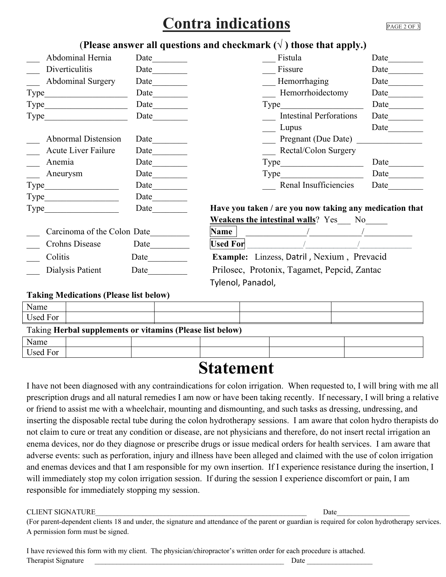## **Contra indications PAGE 2 OF 3**

### (**Please answer all questions and checkmark**  $(\sqrt{})$  those that apply.)

| Abdominal Hernia            | Date $\qquad \qquad$        | Fistula                                                 | Date |  |
|-----------------------------|-----------------------------|---------------------------------------------------------|------|--|
| Diverticulitis              | Date $\qquad \qquad \qquad$ | Fissure                                                 | Date |  |
| <b>Abdominal Surgery</b>    | Date                        | Hemorrhaging                                            | Date |  |
| Type_                       | Date $\qquad \qquad$        | Hemorrhoidectomy                                        | Date |  |
| Type_                       |                             | Type_                                                   | Date |  |
| Type                        | Date                        | <b>Intestinal Perforations</b>                          | Date |  |
|                             |                             | Lupus                                                   | Date |  |
| Abnormal Distension         | Date                        | Pregnant (Due Date)                                     |      |  |
| <b>Acute Liver Failure</b>  |                             | Rectal/Colon Surgery                                    |      |  |
| Anemia                      | Date                        | Type                                                    | Date |  |
| Aneurysm                    |                             | Type Type                                               | Date |  |
| Type_                       | Date $\qquad \qquad$        | Renal Insufficiencies                                   | Date |  |
| Type_                       | Date $\qquad \qquad$        |                                                         |      |  |
| Type                        | Date                        | Have you taken / are you now taking any medication that |      |  |
|                             |                             | <b>Weakens the intestinal walls</b> ? Yes No            |      |  |
| Carcinoma of the Colon Date |                             | Name                                                    |      |  |
| Crohns Disease              | Date                        | <b>Used For</b>                                         |      |  |
| Colitis                     | Date                        | Example: Linzess, Datril, Nexium, Prevacid              |      |  |
| Dialysis Patient            | Date                        | Prilosec, Protonix, Tagamet, Pepcid, Zantac             |      |  |
|                             |                             | Tylenol, Panadol,                                       |      |  |

#### **Taking Medications (Please list below)**

| Name     |                                                           |  |  |  |
|----------|-----------------------------------------------------------|--|--|--|
| Used For |                                                           |  |  |  |
|          | Taking Herbal supplements or vitamins (Please list below) |  |  |  |
| Name     |                                                           |  |  |  |
| Used For |                                                           |  |  |  |

## **Statement**

I have not been diagnosed with any contraindications for colon irrigation. When requested to, I will bring with me all prescription drugs and all natural remedies I am now or have been taking recently. If necessary, I will bring a relative or friend to assist me with a wheelchair, mounting and dismounting, and such tasks as dressing, undressing, and inserting the disposable rectal tube during the colon hydrotherapy sessions. I am aware that colon hydro therapists do not claim to cure or treat any condition or disease, are not physicians and therefore, do not insert rectal irrigation an enema devices, nor do they diagnose or prescribe drugs or issue medical orders for health services. I am aware that adverse events: such as perforation, injury and illness have been alleged and claimed with the use of colon irrigation and enemas devices and that I am responsible for my own insertion. If I experience resistance during the insertion, I will immediately stop my colon irrigation session. If during the session I experience discomfort or pain, I am responsible for immediately stopping my session.

#### CLIENT SIGNATURE **Date**

(For parent-dependent clients 18 and under, the signature and attendance of the parent or guardian is required for colon hydrotherapy services. A permission form must be signed.

I have reviewed this form with my client. The physician/chiropractor's written order for each procedure is attached. Therapist Signature  $\Box$